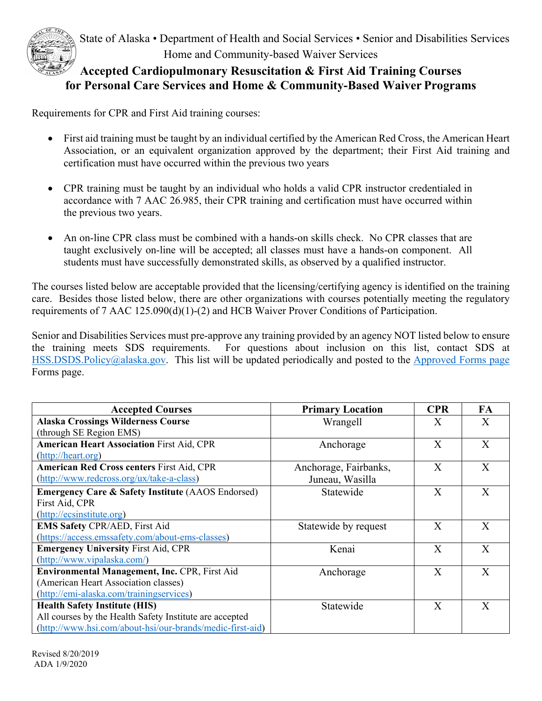

## **for Personal Care Services and Home & Community-Based Waiver Programs Accepted Cardiopulmonary Resuscitation & First Aid Training Courses**

Requirements for CPR and First Aid training courses:

- certification must have occurred within the previous two years • First aid training must be taught by an individual certified by the American Red Cross, the American Heart Association, or an equivalent organization approved by the department; their First Aid training and
- CPR training must be taught by an individual who holds a valid CPR instructor credentialed in accordance with 7 AAC 26.985, their CPR training and certification must have occurred within the previous two years.
- An on-line CPR class must be combined with a hands-on skills check. No CPR classes that are taught exclusively on-line will be accepted; all classes must have a hands-on component. All students must have successfully demonstrated skills, as observed by a qualified instructor.

The courses listed below are acceptable provided that the licensing/certifying agency is identified on the training care. Besides those listed below, there are other organizations with courses potentially meeting the regulatory requirements of 7 AAC 125.090(d)(1)-(2) and HCB Waiver Prover Conditions of Participation.

Senior and Disabilities Services must pre-approve any training provided by an agency NOT listed below to ensure the training meets SDS requirements. For questions about inclusion on this list, contact SDS at [HSS.DSDS.Policy@alaska.gov.](mailto:HSS.DSDS.Policy@alaska.gov) This list will be updated periodically and posted to the Approved Forms page Forms page.

| <b>Accepted Courses</b>                                      | <b>Primary Location</b> | <b>CPR</b> | FA           |
|--------------------------------------------------------------|-------------------------|------------|--------------|
| <b>Alaska Crossings Wilderness Course</b>                    | Wrangell                | X          | X            |
| (through SE Region EMS)                                      |                         |            |              |
| <b>American Heart Association First Aid, CPR</b>             | Anchorage               | X          | X            |
| (http://heart.org)                                           |                         |            |              |
| <b>American Red Cross centers First Aid, CPR</b>             | Anchorage, Fairbanks,   | X          | X            |
| (http://www.redcross.org/ux/take-a-class)                    | Juneau, Wasilla         |            |              |
| <b>Emergency Care &amp; Safety Institute (AAOS Endorsed)</b> | Statewide               | X          | X            |
| First Aid, CPR                                               |                         |            |              |
| (http://ecsinstitute.org)                                    |                         |            |              |
| <b>EMS Safety CPR/AED, First Aid</b>                         | Statewide by request    | X          | X            |
| (https://access.emssafety.com/about-ems-classes)             |                         |            |              |
| <b>Emergency University First Aid, CPR</b>                   | Kenai                   | X          | $\mathbf{X}$ |
| (http://www.vipalaska.com/)                                  |                         |            |              |
| Environmental Management, Inc. CPR, First Aid                | Anchorage               | X          | X            |
| (American Heart Association classes)                         |                         |            |              |
| (http://emi-alaska.com/trainingservices)                     |                         |            |              |
| <b>Health Safety Institute (HIS)</b>                         | Statewide               | X          | $\mathbf{X}$ |
| All courses by the Health Safety Institute are accepted      |                         |            |              |
| (http://www.hsi.com/about-hsi/our-brands/medic-first-aid)    |                         |            |              |